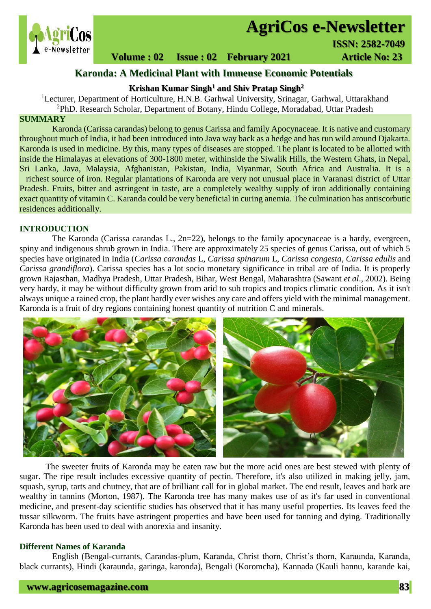

# **AgriCos e-Newsletter**<br>**AgriCos e-Newsletter**

## **Volume : 02 Issue : 02 February 2021 4rticle No: 23**

### **Karonda: A Medicinal Plant with Immense Economic Potentials**

#### **Krishan Kumar Singh<sup>1</sup> and Shiv Pratap Singh<sup>2</sup>**

<sup>1</sup>Lecturer, Department of Horticulture, H.N.B. Garhwal University, Srinagar, Garhwal, Uttarakhand <sup>2</sup>PhD. Research Scholar, Department of Botany, Hindu College, Moradabad, Uttar Pradesh

#### **SUMMARY**

 Karonda (Carissa carandas) belong to genus Carissa and family Apocynaceae. It is native and customary throughout much of India, it had been introduced into Java way back as a hedge and has run wild around Djakarta. Karonda is used in medicine. By this, many types of diseases are stopped. The plant is located to be allotted with inside the Himalayas at elevations of 300-1800 meter, withinside the Siwalik Hills, the Western Ghats, in Nepal, Sri Lanka, Java, Malaysia, Afghanistan, Pakistan, India, Myanmar, South Africa and Australia. It is a richest source of iron. Regular plantations of Karonda are very not unusual place in Varanasi district of Uttar Pradesh. Fruits, bitter and astringent in taste, are a completely wealthy supply of iron additionally containing exact quantity of vitamin C. Karanda could be very beneficial in curing anemia. The culmination has antiscorbutic residences additionally.

#### **INTRODUCTION**

The Karonda (Carissa carandas L., 2n=22), belongs to the family apocynaceae is a hardy, evergreen, spiny and indigenous shrub grown in India. There are approximately 25 species of genus Carissa, out of which 5 species have originated in India (*Carissa carandas* L, *Carissa spinarum* L, *Carissa congesta*, *Carissa edulis* and *Carissa grandiflora*). Carissa species has a lot socio monetary significance in tribal are of India. It is properly grown Rajasthan, Madhya Pradesh, Uttar Pradesh, Bihar, West Bengal, Maharashtra (Sawant *et al*., 2002). Being very hardy, it may be without difficulty grown from arid to sub tropics and tropics climatic condition. As it isn't always unique a rained crop, the plant hardly ever wishes any care and offers yield with the minimal management. Karonda is a fruit of dry regions containing honest quantity of nutrition C and minerals.



The sweeter fruits of Karonda may be eaten raw but the more acid ones are best stewed with plenty of sugar. The ripe result includes excessive quantity of pectin. Therefore, it's also utilized in making jelly, jam, squash, syrup, tarts and chutney, that are of brilliant call for in global market. The end result, leaves and bark are wealthy in tannins (Morton, 1987). The Karonda tree has many makes use of as it's far used in conventional medicine, and present-day scientific studies has observed that it has many useful properties. Its leaves feed the tussar silkworm. The fruits have astringent properties and have been used for tanning and dying. Traditionally Karonda has been used to deal with anorexia and insanity.

#### **Different Names of Karanda**

English (Bengal-currants, Carandas-plum, Karanda, Christ thorn, Christ's thorn, Karaunda, Karanda, black currants), Hindi (karaunda, garinga, karonda), Bengali (Koromcha), Kannada (Kauli hannu, karande kai,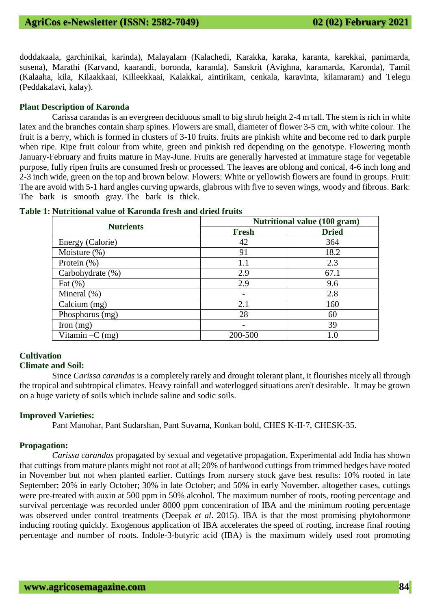doddakaala, garchinikai, karinda), Malayalam (Kalachedi, Karakka, karaka, karanta, karekkai, panimarda, susena), Marathi (Karvand, kaarandi, boronda, karanda), Sanskrit (Avighna, karamarda, Karonda), Tamil (Kalaaha, kila, Kilaakkaai, Killeekkaai, Kalakkai, aintirikam, cenkala, karavinta, kilamaram) and Telegu (Peddakalavi, kalay).

#### **Plant Description of Karonda**

Carissa carandas is an evergreen deciduous small to big shrub height 2-4 m tall. The stem is rich in white latex and the branches contain sharp spines. Flowers are small, diameter of flower 3-5 cm, with white colour. The fruit is a berry, which is formed in clusters of 3-10 fruits. fruits are pinkish white and become red to dark purple when ripe. Ripe fruit colour from white, green and pinkish red depending on the genotype. Flowering month January-February and fruits mature in May-June. Fruits are generally harvested at immature stage for vegetable purpose, fully ripen fruits are consumed fresh or processed. The leaves are oblong and conical, 4-6 inch long and 2-3 inch wide, green on the top and brown below. Flowers: White or yellowish flowers are found in groups. Fruit: The are avoid with 5-1 hard angles curving upwards, glabrous with five to seven wings, woody and fibrous. Bark: The bark is smooth gray. The bark is thick.

| <b>Nutrients</b>  | <b>Nutritional value (100 gram)</b> |              |  |  |  |
|-------------------|-------------------------------------|--------------|--|--|--|
|                   | <b>Fresh</b>                        | <b>Dried</b> |  |  |  |
| Energy (Calorie)  | 42                                  | 364          |  |  |  |
| Moisture $(\%)$   | 91                                  | 18.2         |  |  |  |
| Protein $(\%)$    | 1.1                                 | 2.3          |  |  |  |
| Carbohydrate (%)  | 2.9                                 | 67.1         |  |  |  |
| Fat $(\% )$       | 2.9                                 | 9.6          |  |  |  |
| Mineral $(\%)$    |                                     | 2.8          |  |  |  |
| Calcium (mg)      | 2.1                                 | 160          |  |  |  |
| Phosphorus (mg)   | 28                                  | 60           |  |  |  |
| Iron $(mg)$       |                                     | 39           |  |  |  |
| Vitamin $-C$ (mg) | 200-500                             | 1.0          |  |  |  |

|  |  |  |  |  | Table 1: Nutritional value of Karonda fresh and dried fruits |  |  |  |  |
|--|--|--|--|--|--------------------------------------------------------------|--|--|--|--|
|--|--|--|--|--|--------------------------------------------------------------|--|--|--|--|

#### **Cultivation**

#### **Climate and Soil:**

Since *Carissa carandas* is a completely rarely and drought tolerant plant, it flourishes nicely all through the tropical and subtropical climates. Heavy rainfall and waterlogged situations aren't desirable. It may be grown on a huge variety of soils which include saline and sodic soils.

#### **Improved Varieties:**

Pant Manohar, Pant Sudarshan, Pant Suvarna, Konkan bold, CHES K-II-7, CHESK-35.

#### **Propagation:**

*Carissa carandas* propagated by sexual and vegetative propagation. Experimental add India has shown that cuttings from mature plants might not root at all; 20% of hardwood cuttings from trimmed hedges have rooted in November but not when planted earlier. Cuttings from nursery stock gave best results: 10% rooted in late September; 20% in early October; 30% in late October; and 50% in early November. altogether cases, cuttings were pre-treated with auxin at 500 ppm in 50% alcohol. The maximum number of roots, rooting percentage and survival percentage was recorded under 8000 ppm concentration of IBA and the minimum rooting percentage was observed under control treatments (Deepak *et al*. 2015). IBA is that the most promising phytohormone inducing rooting quickly. Exogenous application of IBA accelerates the speed of rooting, increase final rooting percentage and number of roots. Indole-3-butyric acid (IBA) is the maximum widely used root promoting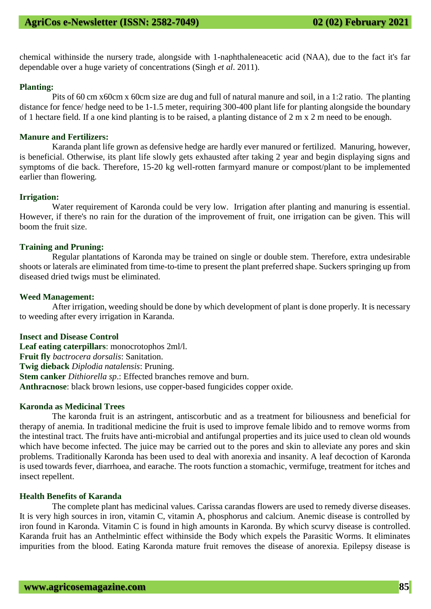chemical withinside the nursery trade, alongside with 1-naphthaleneacetic acid (NAA), due to the fact it's far dependable over a huge variety of concentrations (Singh *et al*. 2011).

#### **Planting:**

Pits of 60 cm x60cm x 60cm size are dug and full of natural manure and soil, in a 1:2 ratio. The planting distance for fence/ hedge need to be 1-1.5 meter, requiring 300-400 plant life for planting alongside the boundary of 1 hectare field. If a one kind planting is to be raised, a planting distance of 2 m x 2 m need to be enough.

#### **Manure and Fertilizers:**

Karanda plant life grown as defensive hedge are hardly ever manured or fertilized. Manuring, however, is beneficial. Otherwise, its plant life slowly gets exhausted after taking 2 year and begin displaying signs and symptoms of die back. Therefore, 15-20 kg well-rotten farmyard manure or compost/plant to be implemented earlier than flowering.

#### **Irrigation:**

Water requirement of Karonda could be very low. Irrigation after planting and manuring is essential. However, if there's no rain for the duration of the improvement of fruit, one irrigation can be given. This will boom the fruit size.

#### **Training and Pruning:**

Regular plantations of Karonda may be trained on single or double stem. Therefore, extra undesirable shoots or laterals are eliminated from time-to-time to present the plant preferred shape. Suckers springing up from diseased dried twigs must be eliminated.

#### **Weed Management:**

After irrigation, weeding should be done by which development of plant is done properly. It is necessary to weeding after every irrigation in Karanda.

#### **Insect and Disease Control**

**Leaf eating caterpillars**: monocrotophos 2ml/l. **Fruit fly** *bactrocera dorsalis*: Sanitation. **Twig dieback** *Diplodia natalensis*: Pruning. **Stem canker** *Dithiorella sp*.: Effected branches remove and burn. **Anthracnose**: black brown lesions, use copper-based fungicides copper oxide.

#### **Karonda as Medicinal Trees**

The karonda fruit is an astringent, antiscorbutic and as a treatment for biliousness and beneficial for therapy of anemia. In traditional medicine the fruit is used to improve female libido and to remove worms from the intestinal tract. The fruits have anti-microbial and antifungal properties and its juice used to clean old wounds which have become infected. The juice may be carried out to the pores and skin to alleviate any pores and skin problems. Traditionally Karonda has been used to deal with anorexia and insanity. A leaf decoction of Karonda is used towards fever, diarrhoea, and earache. The roots function a stomachic, vermifuge, treatment for itches and insect repellent.

#### **Health Benefits of Karanda**

The complete plant has medicinal values. Carissa carandas flowers are used to remedy diverse diseases. It is very high sources in iron, vitamin C, vitamin A, phosphorus and calcium. Anemic disease is controlled by iron found in Karonda. Vitamin C is found in high amounts in Karonda. By which scurvy disease is controlled. Karanda fruit has an Anthelmintic effect withinside the Body which expels the Parasitic Worms. It eliminates impurities from the blood. Eating Karonda mature fruit removes the disease of anorexia. Epilepsy disease is